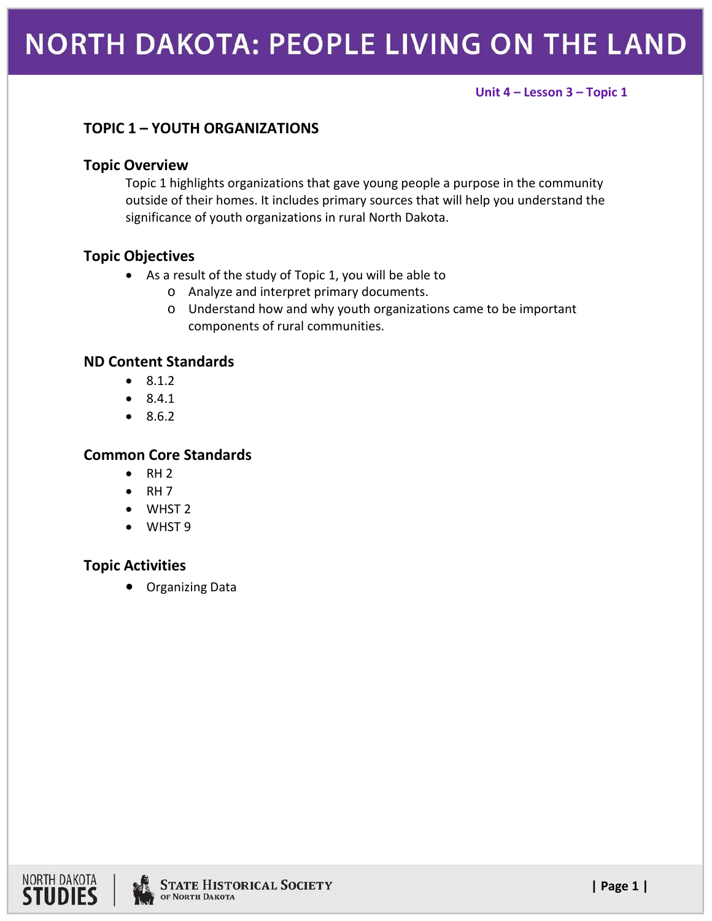#### **Unit 4 – Lesson 3 – Topic 1**

## **TOPIC 1 – YOUTH ORGANIZATIONS**

#### **Topic Overview**

Topic 1 highlights organizations that gave young people a purpose in the community outside of their homes. It includes primary sources that will help you understand the significance of youth organizations in rural North Dakota.

### **Topic Objectives**

- As a result of the study of Topic 1, you will be able to
	- o Analyze and interpret primary documents.
	- o Understand how and why youth organizations came to be important components of rural communities.

#### **ND Content Standards**

- 8.1.2
- 8.4.1
- 8.6.2

### **Common Core Standards**

- $\bullet$  RH 2
- $\bullet$  RH 7
- WHST 2
- WHST 9

### **Topic Activities**

• Organizing Data



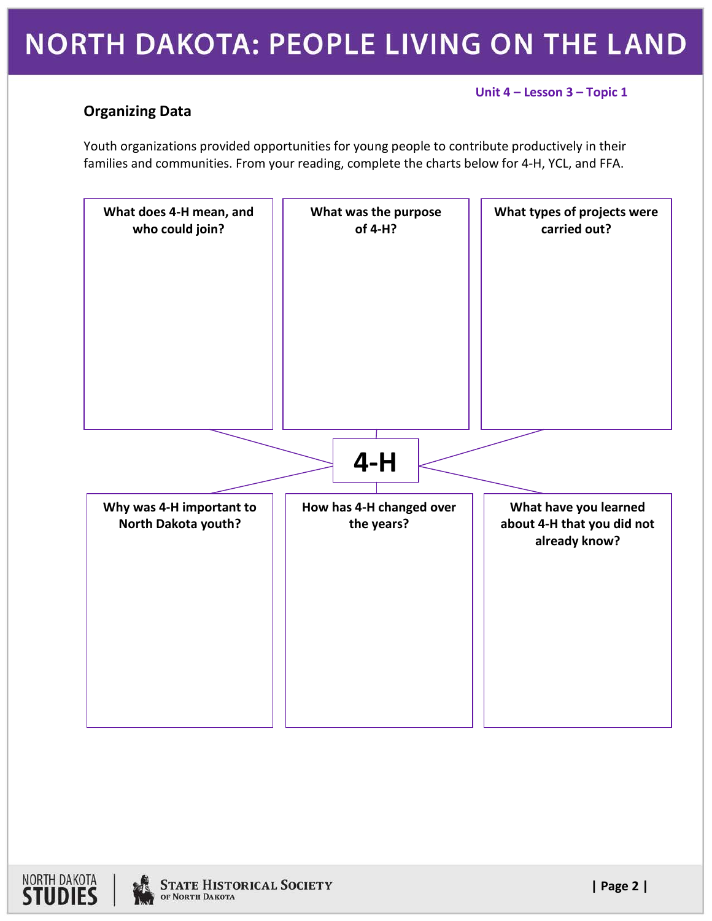# **NORTH DAKOTA: PEOPLE LIVING ON THE LAND**

#### **Unit 4 – Lesson 3 – Topic 1**

## **Organizing Data**

Youth organizations provided opportunities for young people to contribute productively in their families and communities. From your reading, complete the charts below for 4-H, YCL, and FFA.



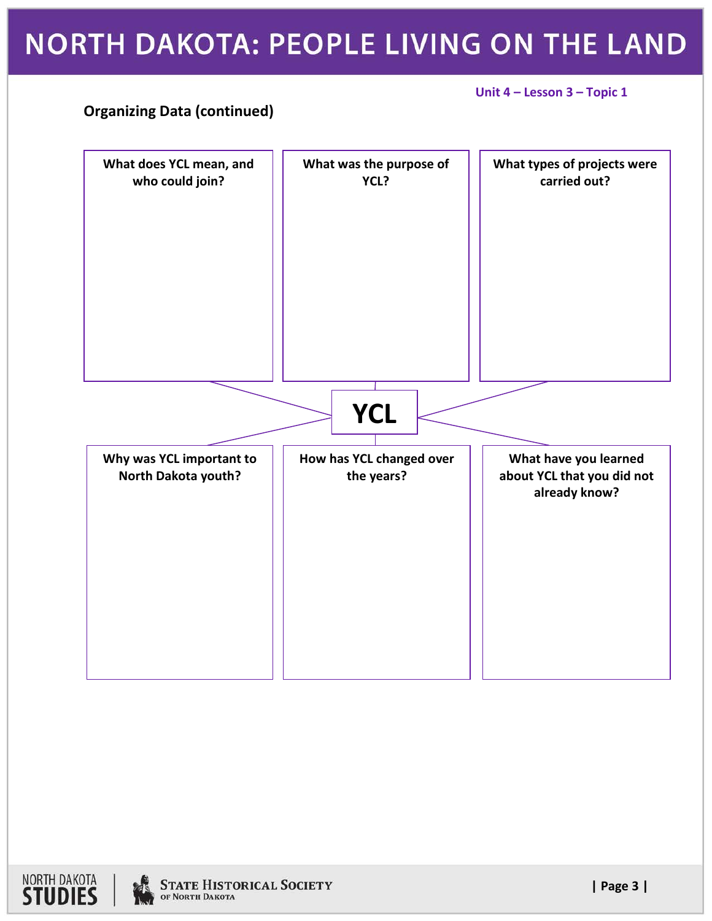# NORTH DAKOTA: PEOPLE LIVING ON THE LAND